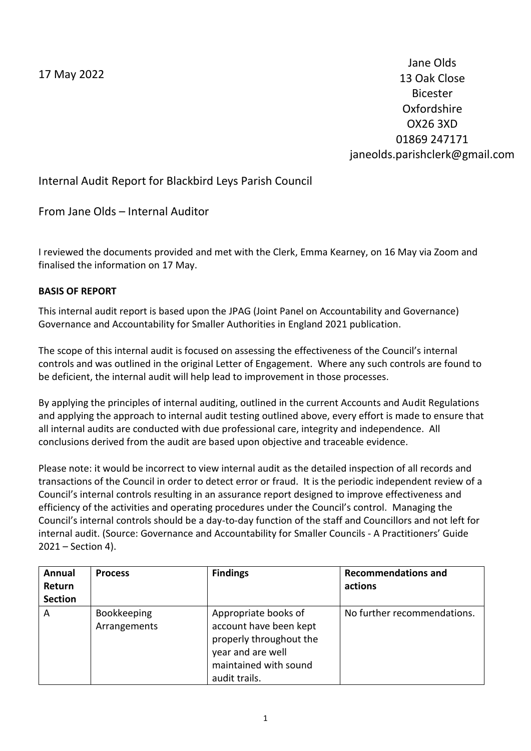17 May 2022

Jane Olds 13 Oak Close Bicester Oxfordshire OX26 3XD 01869 247171 janeolds.parishclerk@gmail.com

Internal Audit Report for Blackbird Leys Parish Council

From Jane Olds – Internal Auditor

I reviewed the documents provided and met with the Clerk, Emma Kearney, on 16 May via Zoom and finalised the information on 17 May.

# **BASIS OF REPORT**

This internal audit report is based upon the JPAG (Joint Panel on Accountability and Governance) Governance and Accountability for Smaller Authorities in England 2021 publication.

The scope of this internal audit is focused on assessing the effectiveness of the Council's internal controls and was outlined in the original Letter of Engagement. Where any such controls are found to be deficient, the internal audit will help lead to improvement in those processes.

By applying the principles of internal auditing, outlined in the current Accounts and Audit Regulations and applying the approach to internal audit testing outlined above, every effort is made to ensure that all internal audits are conducted with due professional care, integrity and independence. All conclusions derived from the audit are based upon objective and traceable evidence.

Please note: it would be incorrect to view internal audit as the detailed inspection of all records and transactions of the Council in order to detect error or fraud. It is the periodic independent review of a Council's internal controls resulting in an assurance report designed to improve effectiveness and efficiency of the activities and operating procedures under the Council's control. Managing the Council's internal controls should be a day-to-day function of the staff and Councillors and not left for internal audit. (Source: Governance and Accountability for Smaller Councils - A Practitioners' Guide 2021 – Section 4).

| Annual<br>Return<br><b>Section</b> | <b>Process</b>                     | <b>Findings</b>                                                                                                                          | <b>Recommendations and</b><br>actions |
|------------------------------------|------------------------------------|------------------------------------------------------------------------------------------------------------------------------------------|---------------------------------------|
| A                                  | <b>Bookkeeping</b><br>Arrangements | Appropriate books of<br>account have been kept<br>properly throughout the<br>year and are well<br>maintained with sound<br>audit trails. | No further recommendations.           |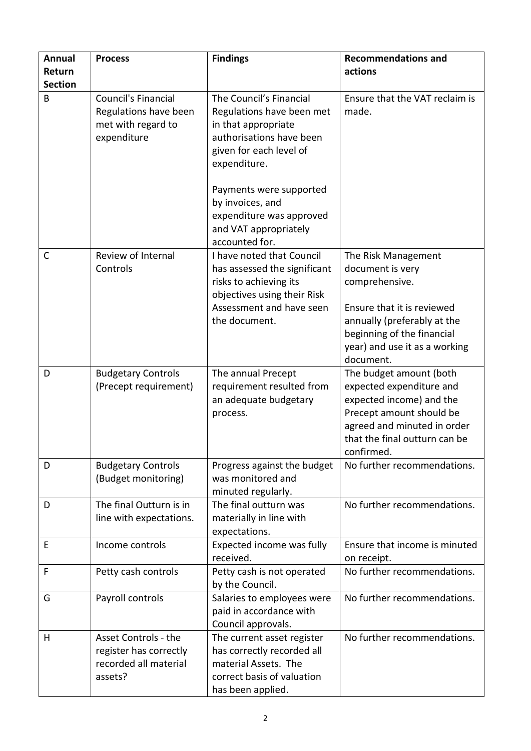| <b>Annual</b>  | <b>Process</b>                                                                     | <b>Findings</b>                                                                                                                                                 | <b>Recommendations and</b>                                                                                                                                                                         |
|----------------|------------------------------------------------------------------------------------|-----------------------------------------------------------------------------------------------------------------------------------------------------------------|----------------------------------------------------------------------------------------------------------------------------------------------------------------------------------------------------|
| Return         |                                                                                    |                                                                                                                                                                 | actions                                                                                                                                                                                            |
| <b>Section</b> |                                                                                    |                                                                                                                                                                 |                                                                                                                                                                                                    |
| B              | Council's Financial<br>Regulations have been<br>met with regard to<br>expenditure  | The Council's Financial<br>Regulations have been met<br>in that appropriate<br>authorisations have been<br>given for each level of<br>expenditure.              | Ensure that the VAT reclaim is<br>made.                                                                                                                                                            |
|                |                                                                                    | Payments were supported<br>by invoices, and<br>expenditure was approved<br>and VAT appropriately<br>accounted for.                                              |                                                                                                                                                                                                    |
| C              | Review of Internal<br>Controls                                                     | I have noted that Council<br>has assessed the significant<br>risks to achieving its<br>objectives using their Risk<br>Assessment and have seen<br>the document. | The Risk Management<br>document is very<br>comprehensive.<br>Ensure that it is reviewed<br>annually (preferably at the<br>beginning of the financial<br>year) and use it as a working<br>document. |
| D              | <b>Budgetary Controls</b><br>(Precept requirement)                                 | The annual Precept<br>requirement resulted from<br>an adequate budgetary<br>process.                                                                            | The budget amount (both<br>expected expenditure and<br>expected income) and the<br>Precept amount should be<br>agreed and minuted in order<br>that the final outturn can be<br>confirmed.          |
| D              | <b>Budgetary Controls</b><br>(Budget monitoring)                                   | Progress against the budget<br>was monitored and<br>minuted regularly.                                                                                          | No further recommendations.                                                                                                                                                                        |
| D              | The final Outturn is in<br>line with expectations.                                 | The final outturn was<br>materially in line with<br>expectations.                                                                                               | No further recommendations.                                                                                                                                                                        |
| E              | Income controls                                                                    | Expected income was fully<br>received.                                                                                                                          | Ensure that income is minuted<br>on receipt.                                                                                                                                                       |
| F              | Petty cash controls                                                                | Petty cash is not operated<br>by the Council.                                                                                                                   | No further recommendations.                                                                                                                                                                        |
| G              | Payroll controls                                                                   | Salaries to employees were<br>paid in accordance with<br>Council approvals.                                                                                     | No further recommendations.                                                                                                                                                                        |
| H              | Asset Controls - the<br>register has correctly<br>recorded all material<br>assets? | The current asset register<br>has correctly recorded all<br>material Assets. The<br>correct basis of valuation<br>has been applied.                             | No further recommendations.                                                                                                                                                                        |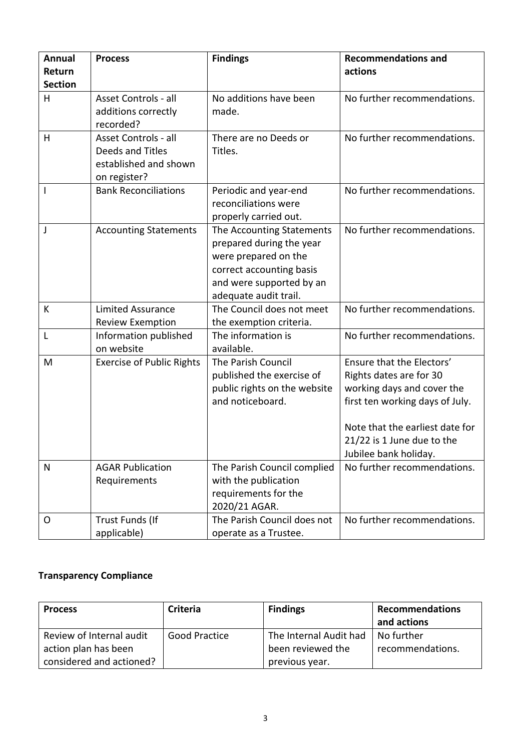| <b>Annual</b>            | <b>Process</b>                                                                    | <b>Findings</b>                                                                                                                                                | <b>Recommendations and</b>                                                                                                                                                             |
|--------------------------|-----------------------------------------------------------------------------------|----------------------------------------------------------------------------------------------------------------------------------------------------------------|----------------------------------------------------------------------------------------------------------------------------------------------------------------------------------------|
| Return<br><b>Section</b> |                                                                                   |                                                                                                                                                                | actions                                                                                                                                                                                |
| H                        | Asset Controls - all<br>additions correctly<br>recorded?                          | No additions have been<br>made.                                                                                                                                | No further recommendations.                                                                                                                                                            |
| H                        | Asset Controls - all<br>Deeds and Titles<br>established and shown<br>on register? | There are no Deeds or<br>Titles.                                                                                                                               | No further recommendations.                                                                                                                                                            |
| ı                        | <b>Bank Reconciliations</b>                                                       | Periodic and year-end<br>reconciliations were<br>properly carried out.                                                                                         | No further recommendations.                                                                                                                                                            |
| J                        | <b>Accounting Statements</b>                                                      | The Accounting Statements<br>prepared during the year<br>were prepared on the<br>correct accounting basis<br>and were supported by an<br>adequate audit trail. | No further recommendations.                                                                                                                                                            |
| К                        | <b>Limited Assurance</b><br><b>Review Exemption</b>                               | The Council does not meet<br>the exemption criteria.                                                                                                           | No further recommendations.                                                                                                                                                            |
| L                        | Information published<br>on website                                               | The information is<br>available.                                                                                                                               | No further recommendations.                                                                                                                                                            |
| M                        | <b>Exercise of Public Rights</b>                                                  | The Parish Council<br>published the exercise of<br>public rights on the website<br>and noticeboard.                                                            | Ensure that the Electors'<br>Rights dates are for 30<br>working days and cover the<br>first ten working days of July.<br>Note that the earliest date for<br>21/22 is 1 June due to the |
| $\mathsf{N}$             | <b>AGAR Publication</b><br>Requirements                                           | The Parish Council complied<br>with the publication<br>requirements for the                                                                                    | Jubilee bank holiday.<br>No further recommendations.                                                                                                                                   |
| O                        | Trust Funds (If<br>applicable)                                                    | 2020/21 AGAR.<br>The Parish Council does not<br>operate as a Trustee.                                                                                          | No further recommendations.                                                                                                                                                            |

# **Transparency Compliance**

| <b>Process</b>           | Criteria             | <b>Findings</b>        | <b>Recommendations</b><br>and actions |
|--------------------------|----------------------|------------------------|---------------------------------------|
| Review of Internal audit | <b>Good Practice</b> | The Internal Audit had | No further                            |
| action plan has been     |                      | been reviewed the      | recommendations.                      |
| considered and actioned? |                      | previous year.         |                                       |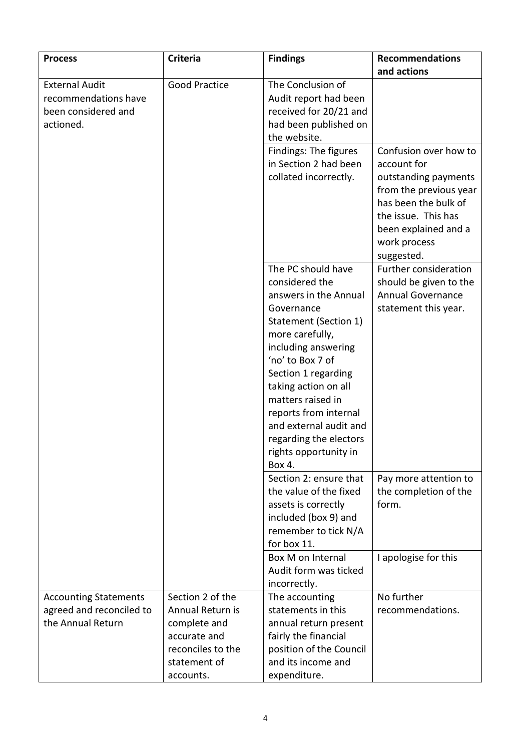| <b>Process</b>                                                                    | <b>Criteria</b>                                                                                                        | <b>Findings</b>                                                                                                                                                                                                                                                                                                                                        | <b>Recommendations</b>                                                                                                                                                                      |
|-----------------------------------------------------------------------------------|------------------------------------------------------------------------------------------------------------------------|--------------------------------------------------------------------------------------------------------------------------------------------------------------------------------------------------------------------------------------------------------------------------------------------------------------------------------------------------------|---------------------------------------------------------------------------------------------------------------------------------------------------------------------------------------------|
|                                                                                   |                                                                                                                        |                                                                                                                                                                                                                                                                                                                                                        | and actions                                                                                                                                                                                 |
| <b>External Audit</b><br>recommendations have<br>been considered and<br>actioned. | <b>Good Practice</b>                                                                                                   | The Conclusion of<br>Audit report had been<br>received for 20/21 and<br>had been published on<br>the website.                                                                                                                                                                                                                                          |                                                                                                                                                                                             |
|                                                                                   |                                                                                                                        | Findings: The figures<br>in Section 2 had been<br>collated incorrectly.                                                                                                                                                                                                                                                                                | Confusion over how to<br>account for<br>outstanding payments<br>from the previous year<br>has been the bulk of<br>the issue. This has<br>been explained and a<br>work process<br>suggested. |
|                                                                                   |                                                                                                                        | The PC should have<br>considered the<br>answers in the Annual<br>Governance<br>Statement (Section 1)<br>more carefully,<br>including answering<br>'no' to Box 7 of<br>Section 1 regarding<br>taking action on all<br>matters raised in<br>reports from internal<br>and external audit and<br>regarding the electors<br>rights opportunity in<br>Box 4. | Further consideration<br>should be given to the<br><b>Annual Governance</b><br>statement this year.                                                                                         |
|                                                                                   |                                                                                                                        | Section 2: ensure that<br>the value of the fixed<br>assets is correctly<br>included (box 9) and<br>remember to tick N/A<br>for box 11.                                                                                                                                                                                                                 | Pay more attention to<br>the completion of the<br>form.                                                                                                                                     |
|                                                                                   |                                                                                                                        | Box M on Internal<br>Audit form was ticked<br>incorrectly.                                                                                                                                                                                                                                                                                             | I apologise for this                                                                                                                                                                        |
| <b>Accounting Statements</b><br>agreed and reconciled to<br>the Annual Return     | Section 2 of the<br>Annual Return is<br>complete and<br>accurate and<br>reconciles to the<br>statement of<br>accounts. | The accounting<br>statements in this<br>annual return present<br>fairly the financial<br>position of the Council<br>and its income and<br>expenditure.                                                                                                                                                                                                 | No further<br>recommendations.                                                                                                                                                              |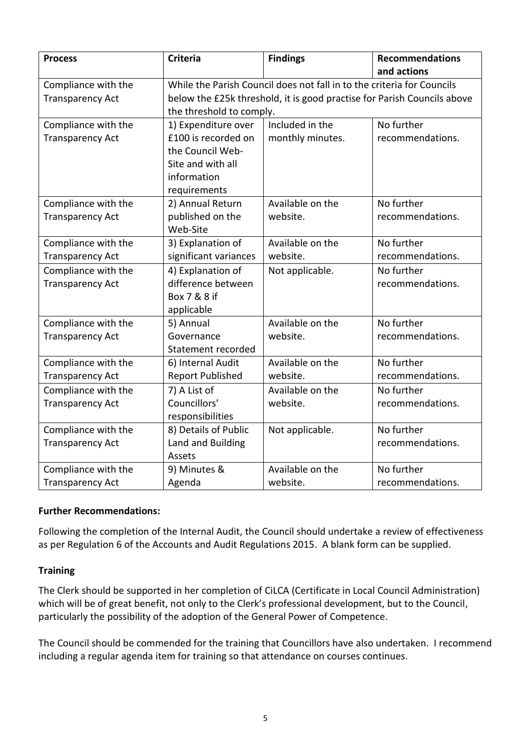| <b>Process</b>                                 | <b>Criteria</b>                                                                                                                                                               | <b>Findings</b>                     | <b>Recommendations</b><br>and actions |  |
|------------------------------------------------|-------------------------------------------------------------------------------------------------------------------------------------------------------------------------------|-------------------------------------|---------------------------------------|--|
| Compliance with the<br><b>Transparency Act</b> | While the Parish Council does not fall in to the criteria for Councils<br>below the £25k threshold, it is good practise for Parish Councils above<br>the threshold to comply. |                                     |                                       |  |
| Compliance with the<br><b>Transparency Act</b> | 1) Expenditure over<br>£100 is recorded on<br>the Council Web-<br>Site and with all<br>information<br>requirements                                                            | Included in the<br>monthly minutes. | No further<br>recommendations.        |  |
| Compliance with the<br><b>Transparency Act</b> | 2) Annual Return<br>published on the<br>Web-Site                                                                                                                              | Available on the<br>website.        | No further<br>recommendations.        |  |
| Compliance with the<br><b>Transparency Act</b> | 3) Explanation of<br>significant variances                                                                                                                                    | Available on the<br>website.        | No further<br>recommendations.        |  |
| Compliance with the<br><b>Transparency Act</b> | 4) Explanation of<br>difference between<br>Box 7 & 8 if<br>applicable                                                                                                         | Not applicable.                     | No further<br>recommendations.        |  |
| Compliance with the<br><b>Transparency Act</b> | 5) Annual<br>Governance<br>Statement recorded                                                                                                                                 | Available on the<br>website.        | No further<br>recommendations.        |  |
| Compliance with the<br><b>Transparency Act</b> | 6) Internal Audit<br><b>Report Published</b>                                                                                                                                  | Available on the<br>website.        | No further<br>recommendations.        |  |
| Compliance with the<br><b>Transparency Act</b> | 7) A List of<br>Councillors'<br>responsibilities                                                                                                                              | Available on the<br>website.        | No further<br>recommendations.        |  |
| Compliance with the<br><b>Transparency Act</b> | 8) Details of Public<br>Land and Building<br>Assets                                                                                                                           | Not applicable.                     | No further<br>recommendations.        |  |
| Compliance with the<br><b>Transparency Act</b> | 9) Minutes &<br>Agenda                                                                                                                                                        | Available on the<br>website.        | No further<br>recommendations.        |  |

## **Further Recommendations:**

Following the completion of the Internal Audit, the Council should undertake a review of effectiveness as per Regulation 6 of the Accounts and Audit Regulations 2015. A blank form can be supplied.

## **Training**

The Clerk should be supported in her completion of CiLCA (Certificate in Local Council Administration) which will be of great benefit, not only to the Clerk's professional development, but to the Council, particularly the possibility of the adoption of the General Power of Competence.

The Council should be commended for the training that Councillors have also undertaken. I recommend including a regular agenda item for training so that attendance on courses continues.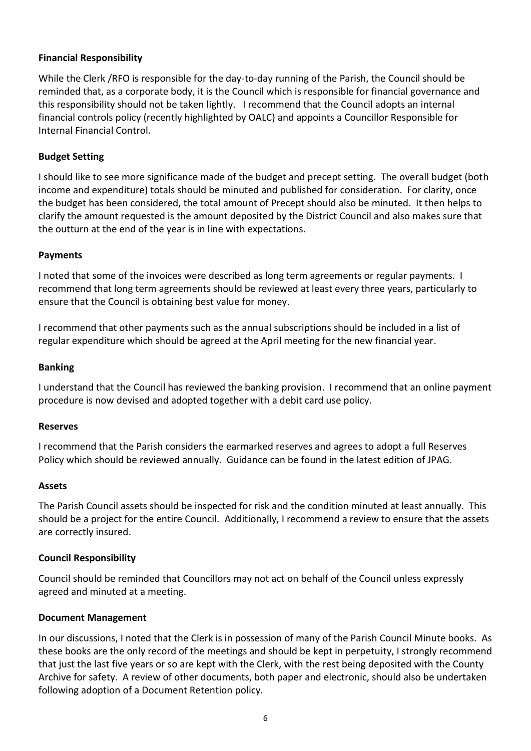# **Financial Responsibility**

While the Clerk /RFO is responsible for the day-to-day running of the Parish, the Council should be reminded that, as a corporate body, it is the Council which is responsible for financial governance and this responsibility should not be taken lightly. I recommend that the Council adopts an internal financial controls policy (recently highlighted by OALC) and appoints a Councillor Responsible for Internal Financial Control.

## **Budget Setting**

I should like to see more significance made of the budget and precept setting. The overall budget (both income and expenditure) totals should be minuted and published for consideration. For clarity, once the budget has been considered, the total amount of Precept should also be minuted. It then helps to clarify the amount requested is the amount deposited by the District Council and also makes sure that the outturn at the end of the year is in line with expectations.

## **Payments**

I noted that some of the invoices were described as long term agreements or regular payments. I recommend that long term agreements should be reviewed at least every three years, particularly to ensure that the Council is obtaining best value for money.

I recommend that other payments such as the annual subscriptions should be included in a list of regular expenditure which should be agreed at the April meeting for the new financial year.

## **Banking**

I understand that the Council has reviewed the banking provision. I recommend that an online payment procedure is now devised and adopted together with a debit card use policy.

## **Reserves**

I recommend that the Parish considers the earmarked reserves and agrees to adopt a full Reserves Policy which should be reviewed annually. Guidance can be found in the latest edition of JPAG.

## **Assets**

The Parish Council assets should be inspected for risk and the condition minuted at least annually. This should be a project for the entire Council. Additionally, I recommend a review to ensure that the assets are correctly insured.

## **Council Responsibility**

Council should be reminded that Councillors may not act on behalf of the Council unless expressly agreed and minuted at a meeting.

## **Document Management**

In our discussions, I noted that the Clerk is in possession of many of the Parish Council Minute books. As these books are the only record of the meetings and should be kept in perpetuity, I strongly recommend that just the last five years or so are kept with the Clerk, with the rest being deposited with the County Archive for safety. A review of other documents, both paper and electronic, should also be undertaken following adoption of a Document Retention policy.